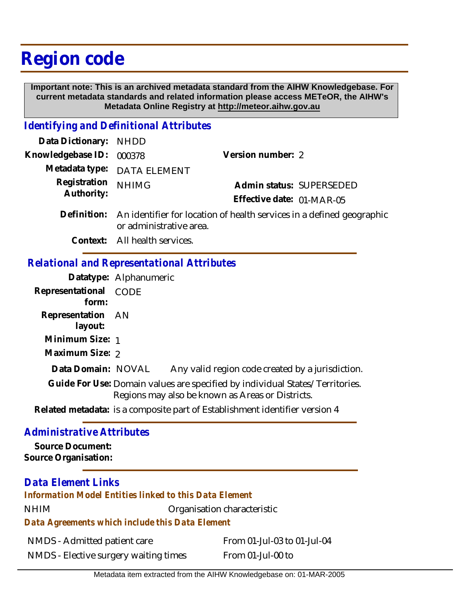# **Region code**

 **Important note: This is an archived metadata standard from the AIHW Knowledgebase. For current metadata standards and related information please access METeOR, the AIHW's Metadata Online Registry at http://meteor.aihw.gov.au**

### *Identifying and Definitional Attributes*

| Data Dictionary: NHDD    |                                                                                |                           |                          |
|--------------------------|--------------------------------------------------------------------------------|---------------------------|--------------------------|
| Knowledgebase ID: 000378 |                                                                                | Version number: 2         |                          |
|                          | Metadata type: DATA ELEMENT                                                    |                           |                          |
| Registration NHIMG       |                                                                                |                           | Admin status: SUPERSEDED |
| Authority:               |                                                                                | Effective date: 01-MAR-05 |                          |
|                          | Definition: An identifier for location of health cervices in a defined general |                           |                          |

- Definition: An identifier for location of health services in a defined geographic or administrative area.
	- **Context:** All health services.

## *Relational and Representational Attributes*

|                                                                                                                                  | Datatype: Alphanumeric                                                      |  |
|----------------------------------------------------------------------------------------------------------------------------------|-----------------------------------------------------------------------------|--|
| Representational CODE<br>form:                                                                                                   |                                                                             |  |
| Representation AN<br>layout:                                                                                                     |                                                                             |  |
| Minimum Size: 1                                                                                                                  |                                                                             |  |
| Maximum Size: 2                                                                                                                  |                                                                             |  |
| Data Domain: NOVAL                                                                                                               | Any valid region code created by a jurisdiction.                            |  |
| Guide For Use: Domain values are specified by individual States/Territories.<br>Regions may also be known as Areas or Districts. |                                                                             |  |
|                                                                                                                                  | Related metadata: is a composite part of Establishment identifier version 4 |  |

#### *Administrative Attributes*

**Source Document: Source Organisation:**

## *Data Element Links*

*Information Model Entities linked to this Data Element*

NHIM Organisation characteristic

*Data Agreements which include this Data Element*

NMDS - Admitted patient care

From 01-Jul-03 to 01-Jul-04

NMDS - Elective surgery waiting times

From 01-Jul-00 to